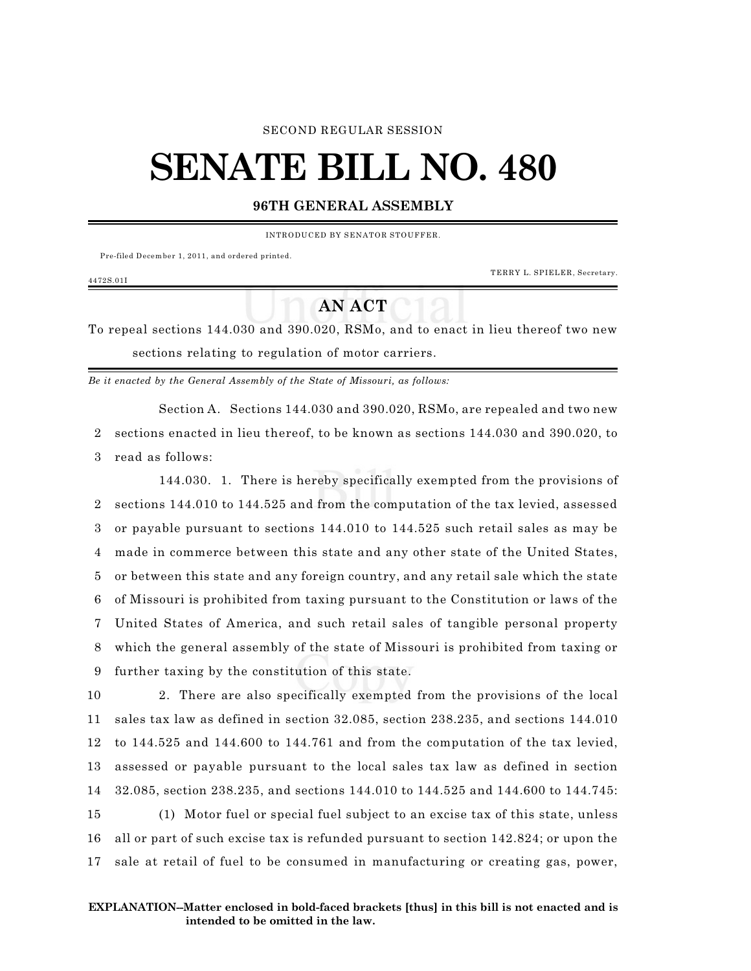### SECOND REGULAR SESSION

# **SENATE BILL NO. 480**

## **96TH GENERAL ASSEMBLY**

INTRODUCED BY SENATOR STOUFFER.

Pre-filed December 1, 2011, and ordered printed.

4472S.01I

TERRY L. SPIELER, Secretary.

# **AN ACT**

To repeal sections 144.030 and 390.020, RSMo, and to enact in lieu thereof two new sections relating to regulation of motor carriers.

*Be it enacted by the General Assembly of the State of Missouri, as follows:*

Section A. Sections 144.030 and 390.020, RSMo, are repealed and two new 2 sections enacted in lieu thereof, to be known as sections 144.030 and 390.020, to 3 read as follows:

144.030. 1. There is hereby specifically exempted from the provisions of sections 144.010 to 144.525 and from the computation of the tax levied, assessed or payable pursuant to sections 144.010 to 144.525 such retail sales as may be made in commerce between this state and any other state of the United States, or between this state and any foreign country, and any retail sale which the state of Missouri is prohibited from taxing pursuant to the Constitution or laws of the United States of America, and such retail sales of tangible personal property which the general assembly of the state of Missouri is prohibited from taxing or further taxing by the constitution of this state.

 2. There are also specifically exempted from the provisions of the local sales tax law as defined in section 32.085, section 238.235, and sections 144.010 to 144.525 and 144.600 to 144.761 and from the computation of the tax levied, assessed or payable pursuant to the local sales tax law as defined in section 32.085, section 238.235, and sections 144.010 to 144.525 and 144.600 to 144.745: (1) Motor fuel or special fuel subject to an excise tax of this state, unless all or part of such excise tax is refunded pursuant to section 142.824; or upon the

17 sale at retail of fuel to be consumed in manufacturing or creating gas, power,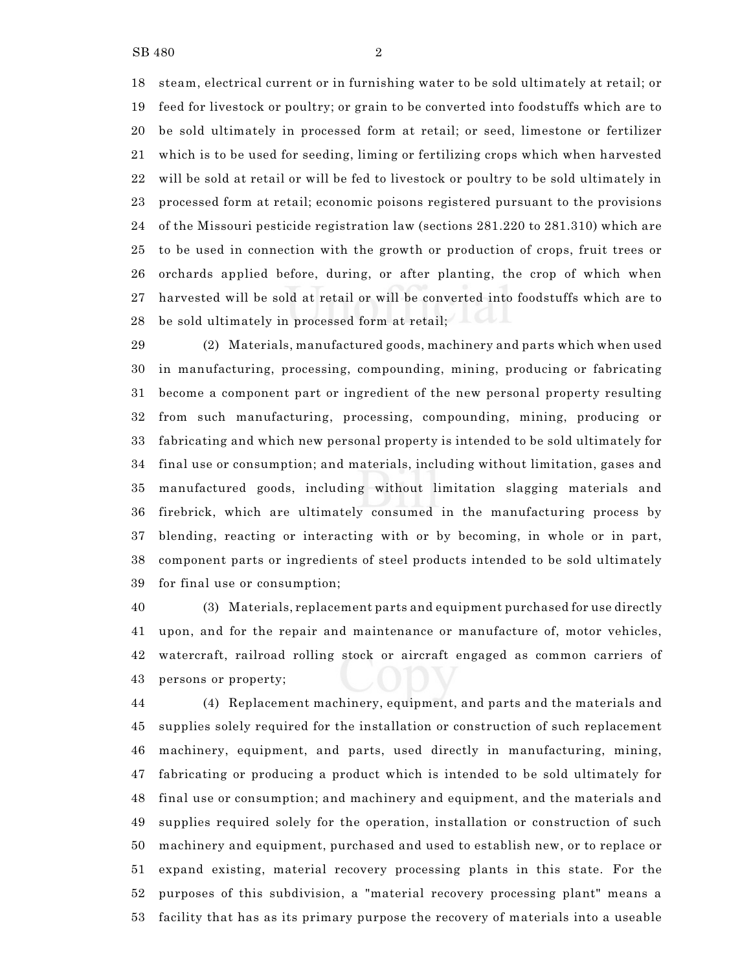steam, electrical current or in furnishing water to be sold ultimately at retail; or feed for livestock or poultry; or grain to be converted into foodstuffs which are to be sold ultimately in processed form at retail; or seed, limestone or fertilizer which is to be used for seeding, liming or fertilizing crops which when harvested will be sold at retail or will be fed to livestock or poultry to be sold ultimately in processed form at retail; economic poisons registered pursuant to the provisions of the Missouri pesticide registration law (sections 281.220 to 281.310) which are to be used in connection with the growth or production of crops, fruit trees or orchards applied before, during, or after planting, the crop of which when harvested will be sold at retail or will be converted into foodstuffs which are to be sold ultimately in processed form at retail;

 (2) Materials, manufactured goods, machinery and parts which when used in manufacturing, processing, compounding, mining, producing or fabricating become a component part or ingredient of the new personal property resulting from such manufacturing, processing, compounding, mining, producing or fabricating and which new personal property is intended to be sold ultimately for final use or consumption; and materials, including without limitation, gases and manufactured goods, including without limitation slagging materials and firebrick, which are ultimately consumed in the manufacturing process by blending, reacting or interacting with or by becoming, in whole or in part, component parts or ingredients of steel products intended to be sold ultimately for final use or consumption;

 (3) Materials, replacement parts and equipment purchased for use directly upon, and for the repair and maintenance or manufacture of, motor vehicles, watercraft, railroad rolling stock or aircraft engaged as common carriers of persons or property;

 (4) Replacement machinery, equipment, and parts and the materials and supplies solely required for the installation or construction of such replacement machinery, equipment, and parts, used directly in manufacturing, mining, fabricating or producing a product which is intended to be sold ultimately for final use or consumption; and machinery and equipment, and the materials and supplies required solely for the operation, installation or construction of such machinery and equipment, purchased and used to establish new, or to replace or expand existing, material recovery processing plants in this state. For the purposes of this subdivision, a "material recovery processing plant" means a facility that has as its primary purpose the recovery of materials into a useable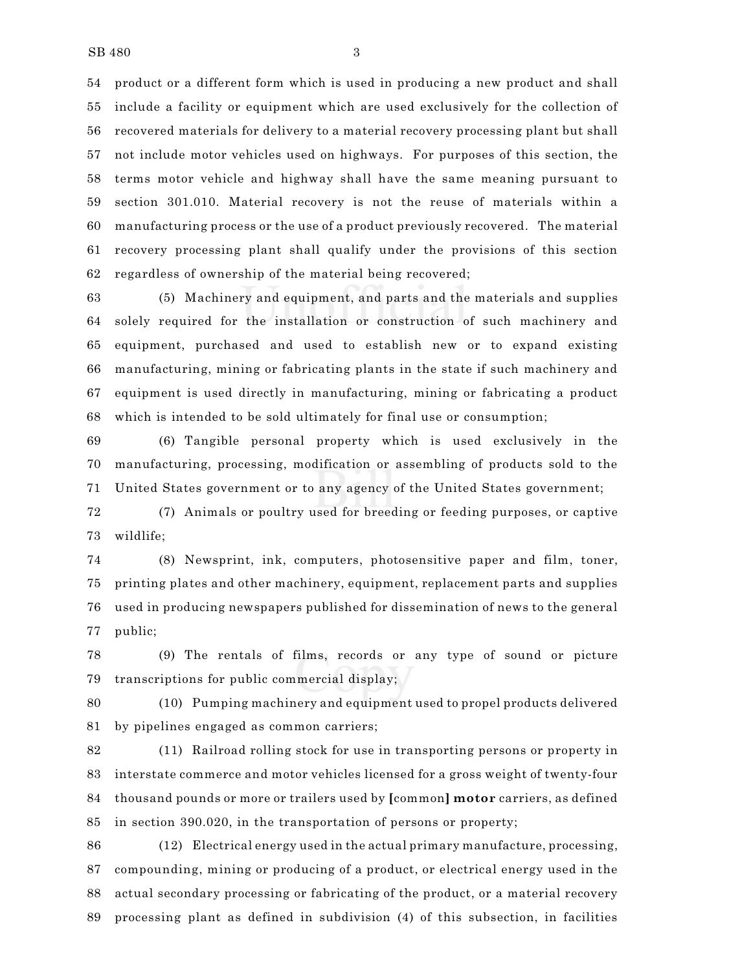product or a different form which is used in producing a new product and shall include a facility or equipment which are used exclusively for the collection of recovered materials for delivery to a material recovery processing plant but shall not include motor vehicles used on highways. For purposes of this section, the terms motor vehicle and highway shall have the same meaning pursuant to section 301.010. Material recovery is not the reuse of materials within a manufacturing process or the use of a product previously recovered. The material recovery processing plant shall qualify under the provisions of this section regardless of ownership of the material being recovered;

 (5) Machinery and equipment, and parts and the materials and supplies solely required for the installation or construction of such machinery and equipment, purchased and used to establish new or to expand existing manufacturing, mining or fabricating plants in the state if such machinery and equipment is used directly in manufacturing, mining or fabricating a product which is intended to be sold ultimately for final use or consumption;

 (6) Tangible personal property which is used exclusively in the manufacturing, processing, modification or assembling of products sold to the United States government or to any agency of the United States government;

 (7) Animals or poultry used for breeding or feeding purposes, or captive wildlife;

 (8) Newsprint, ink, computers, photosensitive paper and film, toner, printing plates and other machinery, equipment, replacement parts and supplies used in producing newspapers published for dissemination of news to the general public;

 (9) The rentals of films, records or any type of sound or picture transcriptions for public commercial display;

 (10) Pumping machinery and equipment used to propel products delivered by pipelines engaged as common carriers;

 (11) Railroad rolling stock for use in transporting persons or property in interstate commerce and motor vehicles licensed for a gross weight of twenty-four thousand pounds or more or trailers used by **[**common**] motor** carriers, as defined in section 390.020, in the transportation of persons or property;

 (12) Electrical energy used in the actual primary manufacture, processing, compounding, mining or producing of a product, or electrical energy used in the actual secondary processing or fabricating of the product, or a material recovery processing plant as defined in subdivision (4) of this subsection, in facilities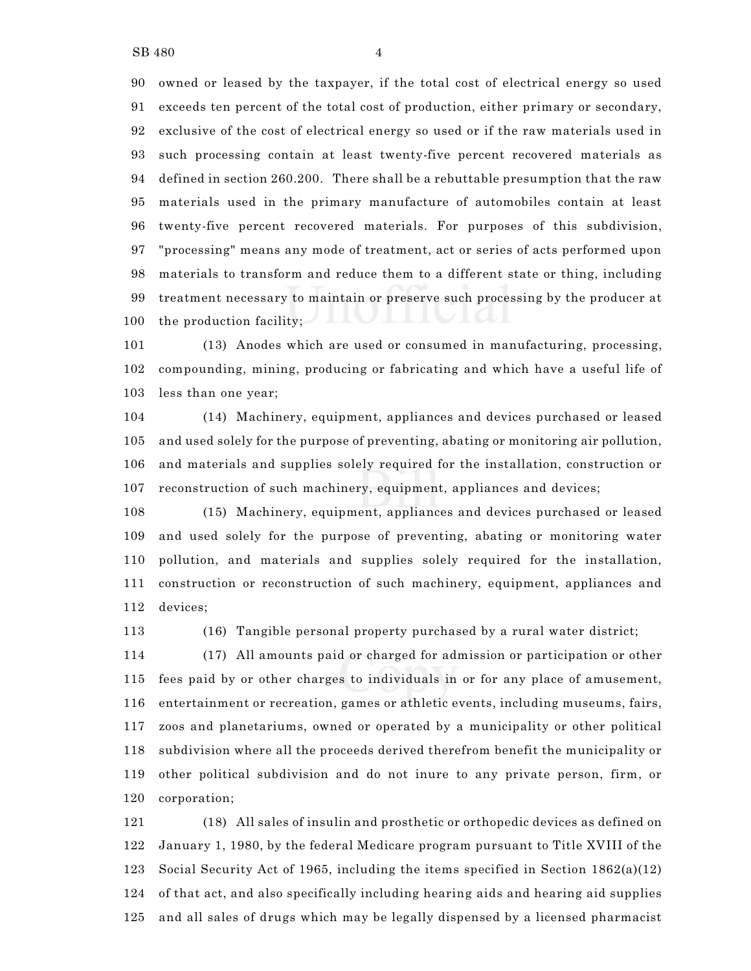owned or leased by the taxpayer, if the total cost of electrical energy so used exceeds ten percent of the total cost of production, either primary or secondary, exclusive of the cost of electrical energy so used or if the raw materials used in such processing contain at least twenty-five percent recovered materials as defined in section 260.200. There shall be a rebuttable presumption that the raw materials used in the primary manufacture of automobiles contain at least twenty-five percent recovered materials. For purposes of this subdivision, "processing" means any mode of treatment, act or series of acts performed upon materials to transform and reduce them to a different state or thing, including treatment necessary to maintain or preserve such processing by the producer at the production facility;

 (13) Anodes which are used or consumed in manufacturing, processing, compounding, mining, producing or fabricating and which have a useful life of less than one year;

 (14) Machinery, equipment, appliances and devices purchased or leased and used solely for the purpose of preventing, abating or monitoring air pollution, and materials and supplies solely required for the installation, construction or reconstruction of such machinery, equipment, appliances and devices;

 (15) Machinery, equipment, appliances and devices purchased or leased and used solely for the purpose of preventing, abating or monitoring water pollution, and materials and supplies solely required for the installation, construction or reconstruction of such machinery, equipment, appliances and devices;

(16) Tangible personal property purchased by a rural water district;

 (17) All amounts paid or charged for admission or participation or other fees paid by or other charges to individuals in or for any place of amusement, entertainment or recreation, games or athletic events, including museums, fairs, zoos and planetariums, owned or operated by a municipality or other political subdivision where all the proceeds derived therefrom benefit the municipality or other political subdivision and do not inure to any private person, firm, or corporation;

 (18) All sales of insulin and prosthetic or orthopedic devices as defined on January 1, 1980, by the federal Medicare program pursuant to Title XVIII of the Social Security Act of 1965, including the items specified in Section 1862(a)(12) of that act, and also specifically including hearing aids and hearing aid supplies and all sales of drugs which may be legally dispensed by a licensed pharmacist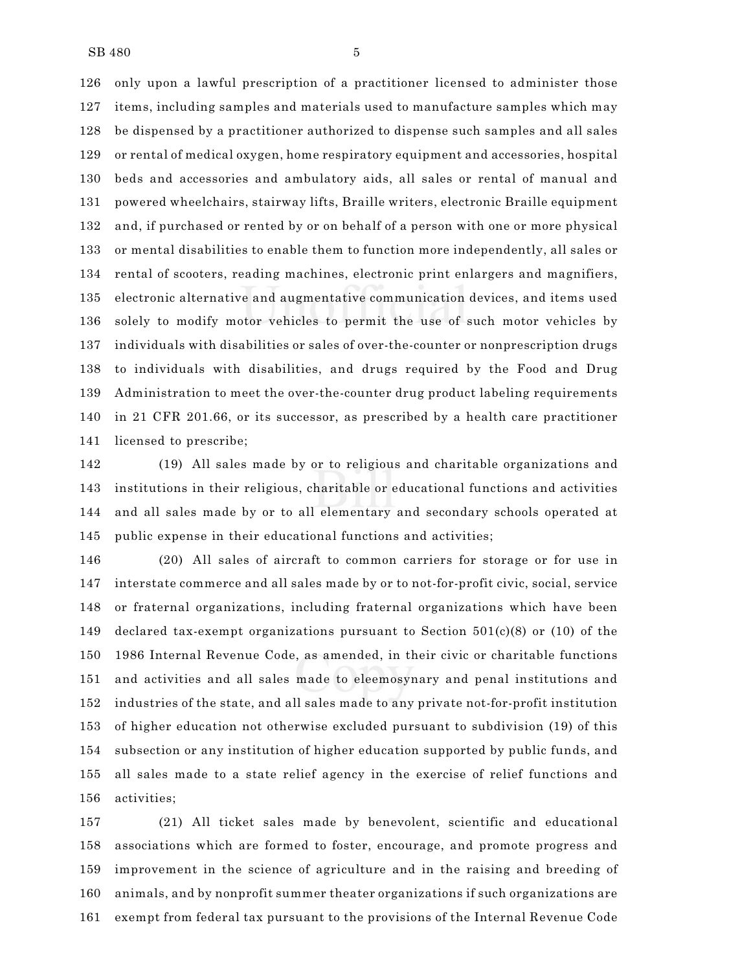only upon a lawful prescription of a practitioner licensed to administer those items, including samples and materials used to manufacture samples which may be dispensed by a practitioner authorized to dispense such samples and all sales or rental of medical oxygen, home respiratory equipment and accessories, hospital beds and accessories and ambulatory aids, all sales or rental of manual and powered wheelchairs, stairway lifts, Braille writers, electronic Braille equipment and, if purchased or rented by or on behalf of a person with one or more physical or mental disabilities to enable them to function more independently, all sales or rental of scooters, reading machines, electronic print enlargers and magnifiers, electronic alternative and augmentative communication devices, and items used solely to modify motor vehicles to permit the use of such motor vehicles by individuals with disabilities or sales of over-the-counter or nonprescription drugs to individuals with disabilities, and drugs required by the Food and Drug Administration to meet the over-the-counter drug product labeling requirements in 21 CFR 201.66, or its successor, as prescribed by a health care practitioner licensed to prescribe;

 (19) All sales made by or to religious and charitable organizations and institutions in their religious, charitable or educational functions and activities and all sales made by or to all elementary and secondary schools operated at public expense in their educational functions and activities;

 (20) All sales of aircraft to common carriers for storage or for use in interstate commerce and all sales made by or to not-for-profit civic, social, service or fraternal organizations, including fraternal organizations which have been 149 declared tax-exempt organizations pursuant to Section  $501(c)(8)$  or (10) of the 1986 Internal Revenue Code, as amended, in their civic or charitable functions and activities and all sales made to eleemosynary and penal institutions and industries of the state, and all sales made to any private not-for-profit institution of higher education not otherwise excluded pursuant to subdivision (19) of this subsection or any institution of higher education supported by public funds, and all sales made to a state relief agency in the exercise of relief functions and activities;

 (21) All ticket sales made by benevolent, scientific and educational associations which are formed to foster, encourage, and promote progress and improvement in the science of agriculture and in the raising and breeding of animals, and by nonprofit summer theater organizations if such organizations are exempt from federal tax pursuant to the provisions of the Internal Revenue Code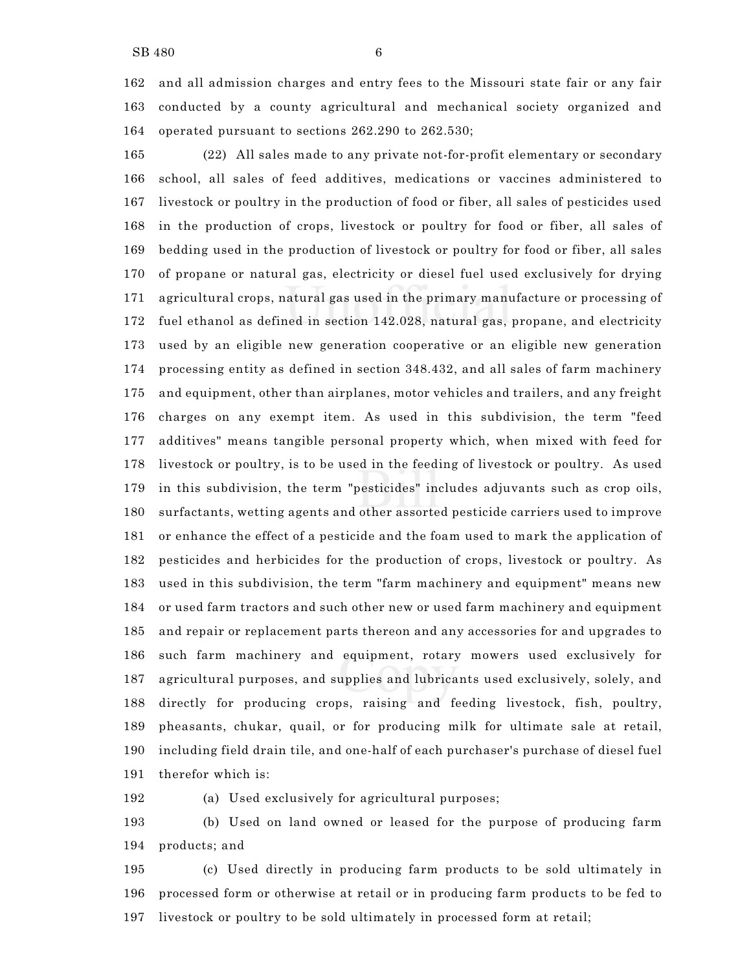and all admission charges and entry fees to the Missouri state fair or any fair conducted by a county agricultural and mechanical society organized and operated pursuant to sections 262.290 to 262.530;

 (22) All sales made to any private not-for-profit elementary or secondary school, all sales of feed additives, medications or vaccines administered to livestock or poultry in the production of food or fiber, all sales of pesticides used in the production of crops, livestock or poultry for food or fiber, all sales of bedding used in the production of livestock or poultry for food or fiber, all sales of propane or natural gas, electricity or diesel fuel used exclusively for drying agricultural crops, natural gas used in the primary manufacture or processing of fuel ethanol as defined in section 142.028, natural gas, propane, and electricity used by an eligible new generation cooperative or an eligible new generation processing entity as defined in section 348.432, and all sales of farm machinery and equipment, other than airplanes, motor vehicles and trailers, and any freight charges on any exempt item. As used in this subdivision, the term "feed additives" means tangible personal property which, when mixed with feed for livestock or poultry, is to be used in the feeding of livestock or poultry. As used in this subdivision, the term "pesticides" includes adjuvants such as crop oils, surfactants, wetting agents and other assorted pesticide carriers used to improve or enhance the effect of a pesticide and the foam used to mark the application of pesticides and herbicides for the production of crops, livestock or poultry. As used in this subdivision, the term "farm machinery and equipment" means new or used farm tractors and such other new or used farm machinery and equipment and repair or replacement parts thereon and any accessories for and upgrades to such farm machinery and equipment, rotary mowers used exclusively for agricultural purposes, and supplies and lubricants used exclusively, solely, and directly for producing crops, raising and feeding livestock, fish, poultry, pheasants, chukar, quail, or for producing milk for ultimate sale at retail, including field drain tile, and one-half of each purchaser's purchase of diesel fuel therefor which is:

(a) Used exclusively for agricultural purposes;

 (b) Used on land owned or leased for the purpose of producing farm products; and

 (c) Used directly in producing farm products to be sold ultimately in processed form or otherwise at retail or in producing farm products to be fed to livestock or poultry to be sold ultimately in processed form at retail;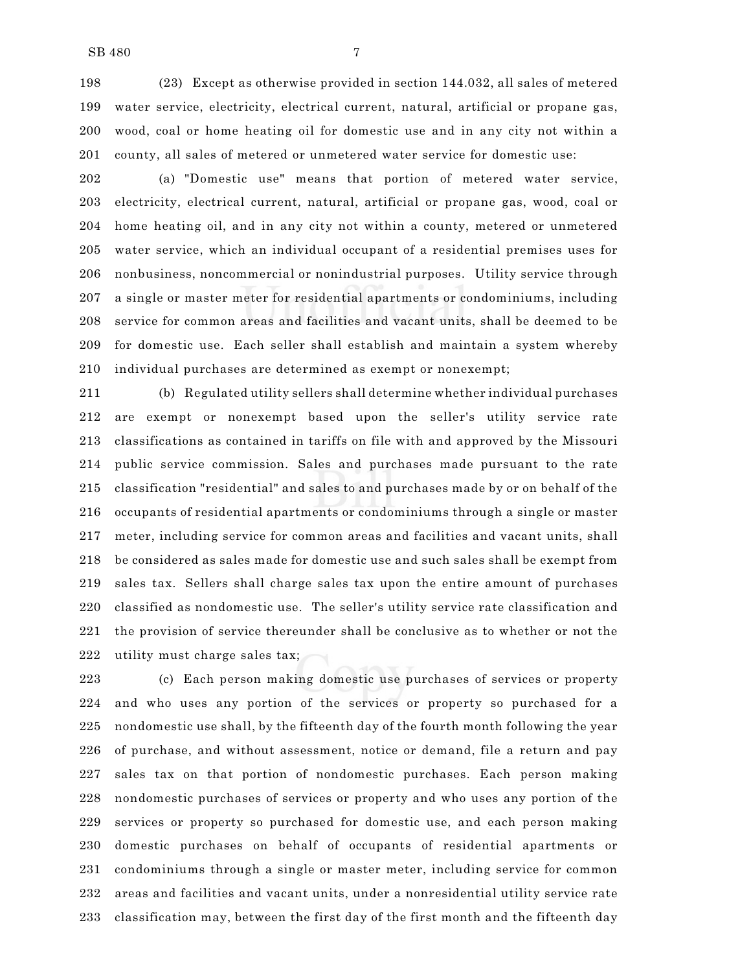(23) Except as otherwise provided in section 144.032, all sales of metered water service, electricity, electrical current, natural, artificial or propane gas, wood, coal or home heating oil for domestic use and in any city not within a county, all sales of metered or unmetered water service for domestic use:

 (a) "Domestic use" means that portion of metered water service, electricity, electrical current, natural, artificial or propane gas, wood, coal or home heating oil, and in any city not within a county, metered or unmetered water service, which an individual occupant of a residential premises uses for nonbusiness, noncommercial or nonindustrial purposes. Utility service through a single or master meter for residential apartments or condominiums, including service for common areas and facilities and vacant units, shall be deemed to be for domestic use. Each seller shall establish and maintain a system whereby individual purchases are determined as exempt or nonexempt;

 (b) Regulated utility sellers shall determine whether individual purchases are exempt or nonexempt based upon the seller's utility service rate classifications as contained in tariffs on file with and approved by the Missouri public service commission. Sales and purchases made pursuant to the rate classification "residential" and sales to and purchases made by or on behalf of the occupants of residential apartments or condominiums through a single or master meter, including service for common areas and facilities and vacant units, shall be considered as sales made for domestic use and such sales shall be exempt from sales tax. Sellers shall charge sales tax upon the entire amount of purchases classified as nondomestic use. The seller's utility service rate classification and the provision of service thereunder shall be conclusive as to whether or not the utility must charge sales tax;

 (c) Each person making domestic use purchases of services or property and who uses any portion of the services or property so purchased for a nondomestic use shall, by the fifteenth day of the fourth month following the year of purchase, and without assessment, notice or demand, file a return and pay sales tax on that portion of nondomestic purchases. Each person making nondomestic purchases of services or property and who uses any portion of the services or property so purchased for domestic use, and each person making domestic purchases on behalf of occupants of residential apartments or condominiums through a single or master meter, including service for common areas and facilities and vacant units, under a nonresidential utility service rate classification may, between the first day of the first month and the fifteenth day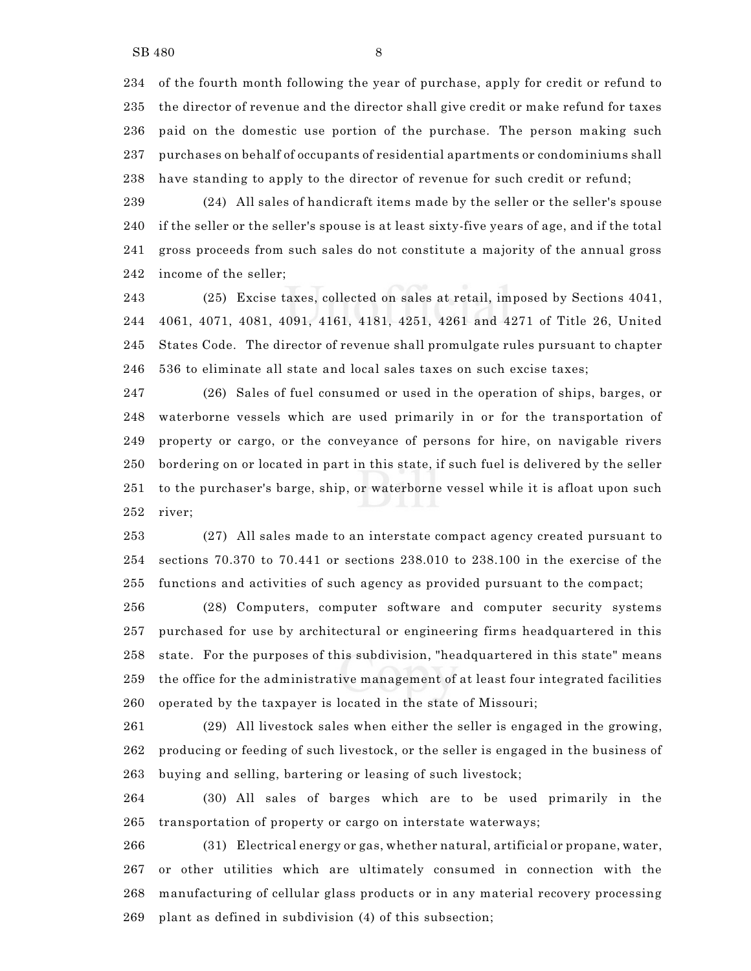of the fourth month following the year of purchase, apply for credit or refund to the director of revenue and the director shall give credit or make refund for taxes paid on the domestic use portion of the purchase. The person making such purchases on behalf of occupants of residential apartments or condominiums shall have standing to apply to the director of revenue for such credit or refund;

 (24) All sales of handicraft items made by the seller or the seller's spouse if the seller or the seller's spouse is at least sixty-five years of age, and if the total gross proceeds from such sales do not constitute a majority of the annual gross income of the seller;

 (25) Excise taxes, collected on sales at retail, imposed by Sections 4041, 4061, 4071, 4081, 4091, 4161, 4181, 4251, 4261 and 4271 of Title 26, United States Code. The director of revenue shall promulgate rules pursuant to chapter 536 to eliminate all state and local sales taxes on such excise taxes;

 (26) Sales of fuel consumed or used in the operation of ships, barges, or waterborne vessels which are used primarily in or for the transportation of property or cargo, or the conveyance of persons for hire, on navigable rivers bordering on or located in part in this state, if such fuel is delivered by the seller to the purchaser's barge, ship, or waterborne vessel while it is afloat upon such river;

 (27) All sales made to an interstate compact agency created pursuant to sections 70.370 to 70.441 or sections 238.010 to 238.100 in the exercise of the functions and activities of such agency as provided pursuant to the compact;

 (28) Computers, computer software and computer security systems purchased for use by architectural or engineering firms headquartered in this state. For the purposes of this subdivision, "headquartered in this state" means the office for the administrative management of at least four integrated facilities operated by the taxpayer is located in the state of Missouri;

 (29) All livestock sales when either the seller is engaged in the growing, producing or feeding of such livestock, or the seller is engaged in the business of buying and selling, bartering or leasing of such livestock;

 (30) All sales of barges which are to be used primarily in the transportation of property or cargo on interstate waterways;

 (31) Electrical energy or gas, whether natural, artificial or propane, water, or other utilities which are ultimately consumed in connection with the manufacturing of cellular glass products or in any material recovery processing plant as defined in subdivision (4) of this subsection;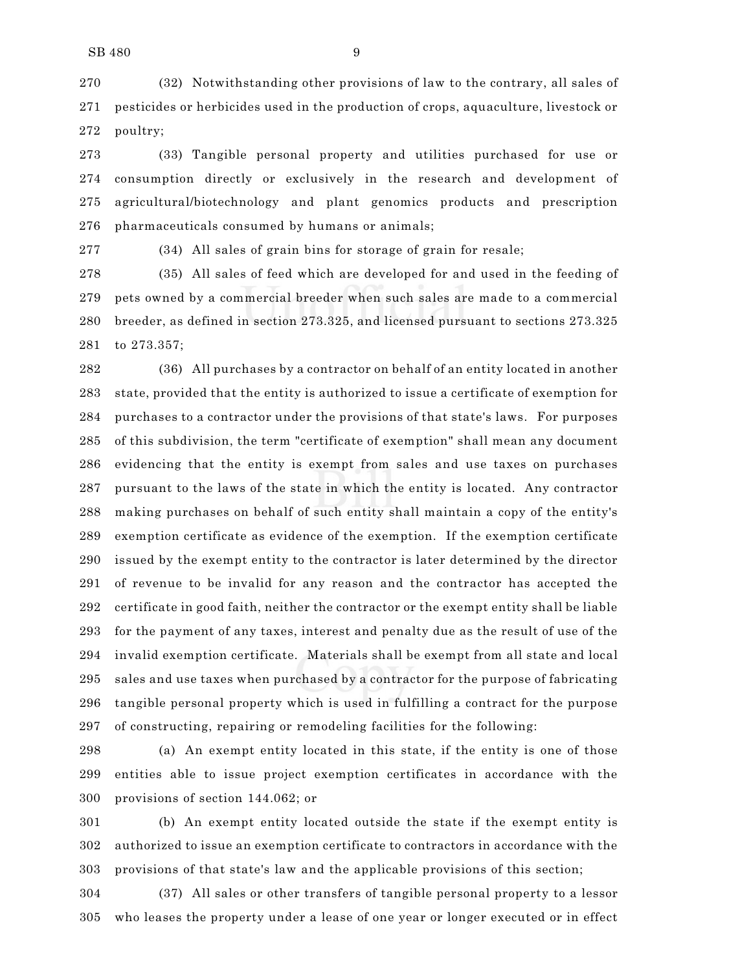(32) Notwithstanding other provisions of law to the contrary, all sales of pesticides or herbicides used in the production of crops, aquaculture, livestock or poultry;

 (33) Tangible personal property and utilities purchased for use or consumption directly or exclusively in the research and development of agricultural/biotechnology and plant genomics products and prescription pharmaceuticals consumed by humans or animals;

(34) All sales of grain bins for storage of grain for resale;

 (35) All sales of feed which are developed for and used in the feeding of pets owned by a commercial breeder when such sales are made to a commercial breeder, as defined in section 273.325, and licensed pursuant to sections 273.325 to 273.357;

 (36) All purchases by a contractor on behalf of an entity located in another state, provided that the entity is authorized to issue a certificate of exemption for purchases to a contractor under the provisions of that state's laws. For purposes of this subdivision, the term "certificate of exemption" shall mean any document evidencing that the entity is exempt from sales and use taxes on purchases pursuant to the laws of the state in which the entity is located. Any contractor making purchases on behalf of such entity shall maintain a copy of the entity's exemption certificate as evidence of the exemption. If the exemption certificate issued by the exempt entity to the contractor is later determined by the director of revenue to be invalid for any reason and the contractor has accepted the certificate in good faith, neither the contractor or the exempt entity shall be liable for the payment of any taxes, interest and penalty due as the result of use of the invalid exemption certificate. Materials shall be exempt from all state and local sales and use taxes when purchased by a contractor for the purpose of fabricating tangible personal property which is used in fulfilling a contract for the purpose of constructing, repairing or remodeling facilities for the following:

 (a) An exempt entity located in this state, if the entity is one of those entities able to issue project exemption certificates in accordance with the provisions of section 144.062; or

 (b) An exempt entity located outside the state if the exempt entity is authorized to issue an exemption certificate to contractors in accordance with the provisions of that state's law and the applicable provisions of this section;

 (37) All sales or other transfers of tangible personal property to a lessor who leases the property under a lease of one year or longer executed or in effect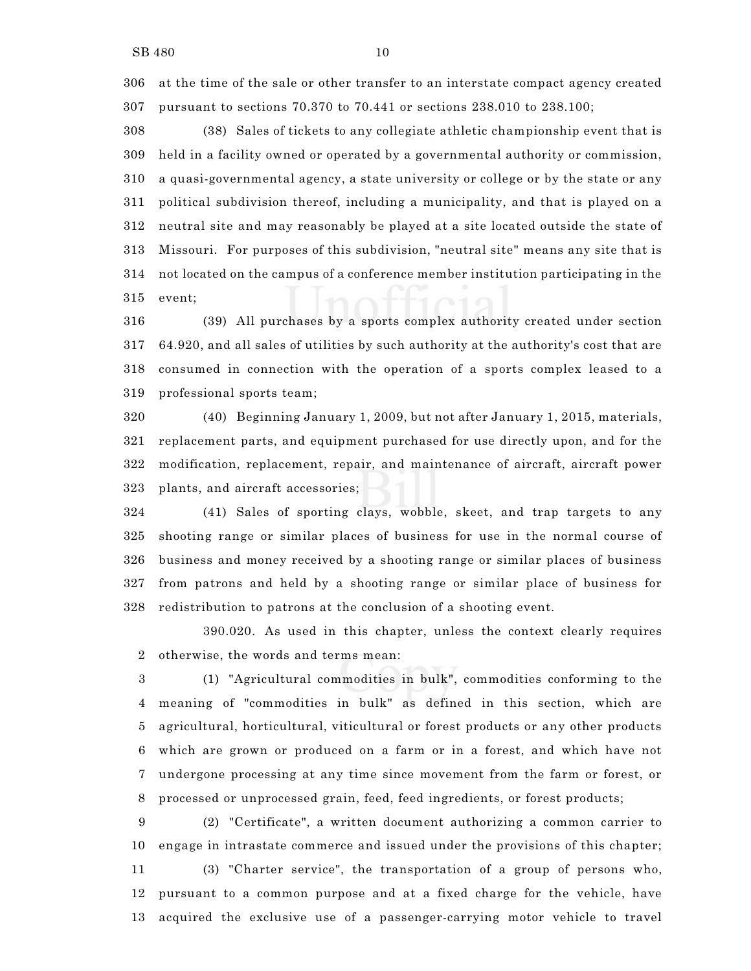at the time of the sale or other transfer to an interstate compact agency created pursuant to sections 70.370 to 70.441 or sections 238.010 to 238.100;

 (38) Sales of tickets to any collegiate athletic championship event that is held in a facility owned or operated by a governmental authority or commission, a quasi-governmental agency, a state university or college or by the state or any political subdivision thereof, including a municipality, and that is played on a neutral site and may reasonably be played at a site located outside the state of Missouri. For purposes of this subdivision, "neutral site" means any site that is not located on the campus of a conference member institution participating in the event;

 (39) All purchases by a sports complex authority created under section 64.920, and all sales of utilities by such authority at the authority's cost that are consumed in connection with the operation of a sports complex leased to a professional sports team;

 (40) Beginning January 1, 2009, but not after January 1, 2015, materials, replacement parts, and equipment purchased for use directly upon, and for the modification, replacement, repair, and maintenance of aircraft, aircraft power plants, and aircraft accessories;

 (41) Sales of sporting clays, wobble, skeet, and trap targets to any shooting range or similar places of business for use in the normal course of business and money received by a shooting range or similar places of business from patrons and held by a shooting range or similar place of business for redistribution to patrons at the conclusion of a shooting event.

390.020. As used in this chapter, unless the context clearly requires otherwise, the words and terms mean:

 (1) "Agricultural commodities in bulk", commodities conforming to the meaning of "commodities in bulk" as defined in this section, which are agricultural, horticultural, viticultural or forest products or any other products which are grown or produced on a farm or in a forest, and which have not undergone processing at any time since movement from the farm or forest, or processed or unprocessed grain, feed, feed ingredients, or forest products;

 (2) "Certificate", a written document authorizing a common carrier to engage in intrastate commerce and issued under the provisions of this chapter; (3) "Charter service", the transportation of a group of persons who, pursuant to a common purpose and at a fixed charge for the vehicle, have acquired the exclusive use of a passenger-carrying motor vehicle to travel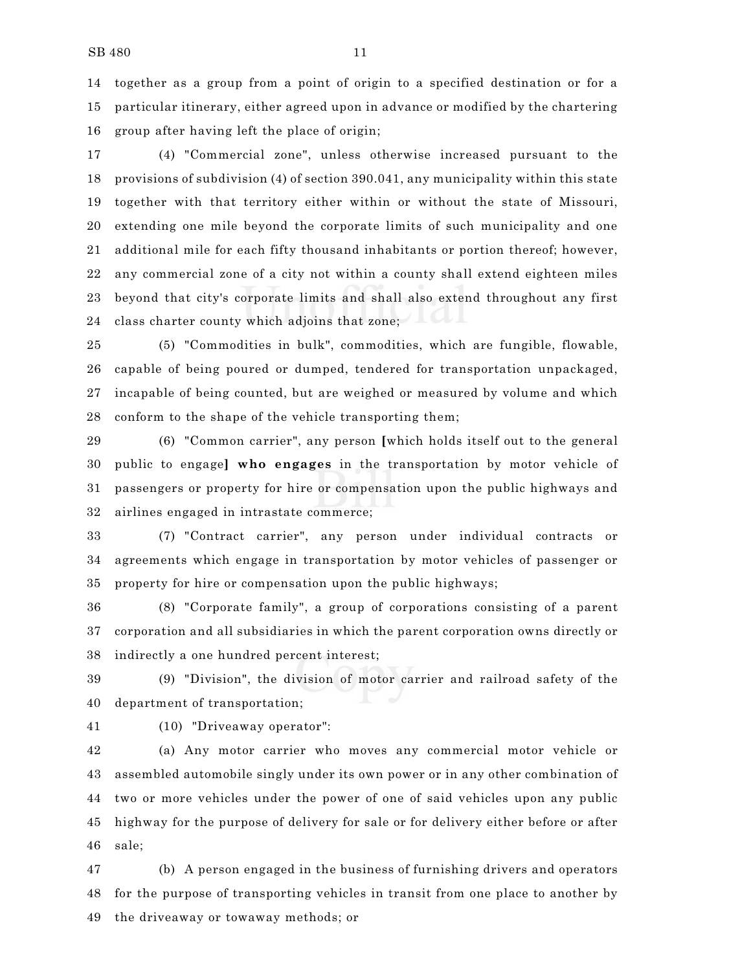together as a group from a point of origin to a specified destination or for a particular itinerary, either agreed upon in advance or modified by the chartering group after having left the place of origin;

 (4) "Commercial zone", unless otherwise increased pursuant to the provisions of subdivision (4) of section 390.041, any municipality within this state together with that territory either within or without the state of Missouri, extending one mile beyond the corporate limits of such municipality and one additional mile for each fifty thousand inhabitants or portion thereof; however, any commercial zone of a city not within a county shall extend eighteen miles beyond that city's corporate limits and shall also extend throughout any first class charter county which adjoins that zone;

 (5) "Commodities in bulk", commodities, which are fungible, flowable, capable of being poured or dumped, tendered for transportation unpackaged, incapable of being counted, but are weighed or measured by volume and which conform to the shape of the vehicle transporting them;

 (6) "Common carrier", any person **[**which holds itself out to the general public to engage**] who engages** in the transportation by motor vehicle of passengers or property for hire or compensation upon the public highways and airlines engaged in intrastate commerce;

 (7) "Contract carrier", any person under individual contracts or agreements which engage in transportation by motor vehicles of passenger or property for hire or compensation upon the public highways;

 (8) "Corporate family", a group of corporations consisting of a parent corporation and all subsidiaries in which the parent corporation owns directly or indirectly a one hundred percent interest;

 (9) "Division", the division of motor carrier and railroad safety of the department of transportation;

(10) "Driveaway operator":

 (a) Any motor carrier who moves any commercial motor vehicle or assembled automobile singly under its own power or in any other combination of two or more vehicles under the power of one of said vehicles upon any public highway for the purpose of delivery for sale or for delivery either before or after sale;

 (b) A person engaged in the business of furnishing drivers and operators for the purpose of transporting vehicles in transit from one place to another by the driveaway or towaway methods; or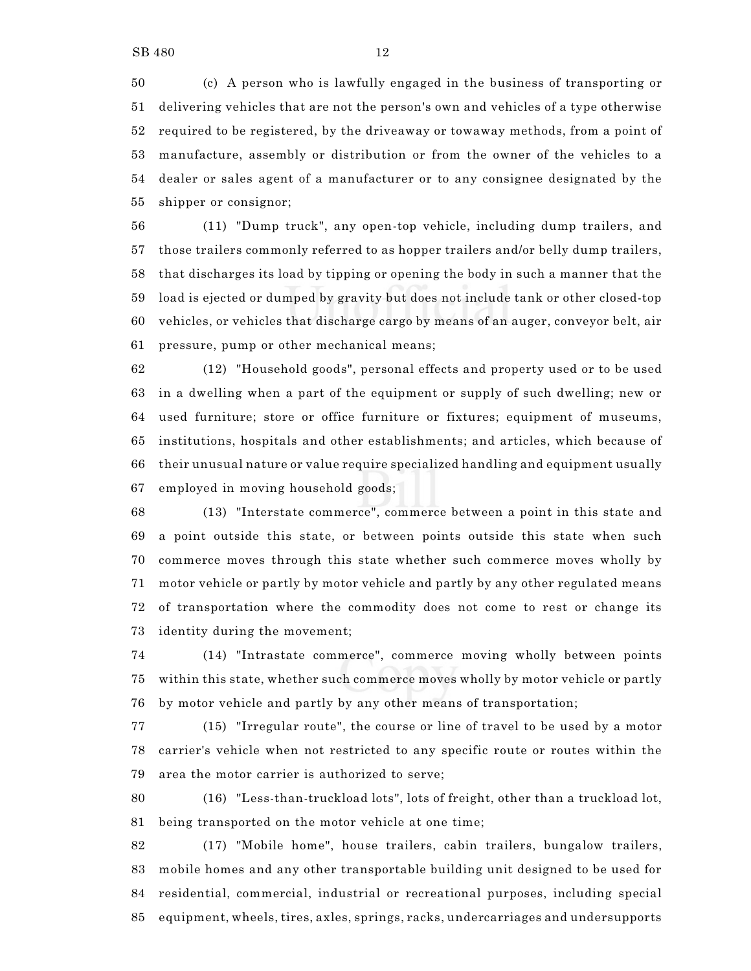(c) A person who is lawfully engaged in the business of transporting or delivering vehicles that are not the person's own and vehicles of a type otherwise required to be registered, by the driveaway or towaway methods, from a point of manufacture, assembly or distribution or from the owner of the vehicles to a dealer or sales agent of a manufacturer or to any consignee designated by the shipper or consignor;

 (11) "Dump truck", any open-top vehicle, including dump trailers, and those trailers commonly referred to as hopper trailers and/or belly dump trailers, that discharges its load by tipping or opening the body in such a manner that the load is ejected or dumped by gravity but does not include tank or other closed-top vehicles, or vehicles that discharge cargo by means of an auger, conveyor belt, air pressure, pump or other mechanical means;

 (12) "Household goods", personal effects and property used or to be used in a dwelling when a part of the equipment or supply of such dwelling; new or used furniture; store or office furniture or fixtures; equipment of museums, institutions, hospitals and other establishments; and articles, which because of their unusual nature or value require specialized handling and equipment usually employed in moving household goods;

 (13) "Interstate commerce", commerce between a point in this state and a point outside this state, or between points outside this state when such commerce moves through this state whether such commerce moves wholly by motor vehicle or partly by motor vehicle and partly by any other regulated means of transportation where the commodity does not come to rest or change its identity during the movement;

 (14) "Intrastate commerce", commerce moving wholly between points within this state, whether such commerce moves wholly by motor vehicle or partly by motor vehicle and partly by any other means of transportation;

 (15) "Irregular route", the course or line of travel to be used by a motor carrier's vehicle when not restricted to any specific route or routes within the area the motor carrier is authorized to serve;

 (16) "Less-than-truckload lots", lots of freight, other than a truckload lot, being transported on the motor vehicle at one time;

 (17) "Mobile home", house trailers, cabin trailers, bungalow trailers, mobile homes and any other transportable building unit designed to be used for residential, commercial, industrial or recreational purposes, including special equipment, wheels, tires, axles, springs, racks, undercarriages and undersupports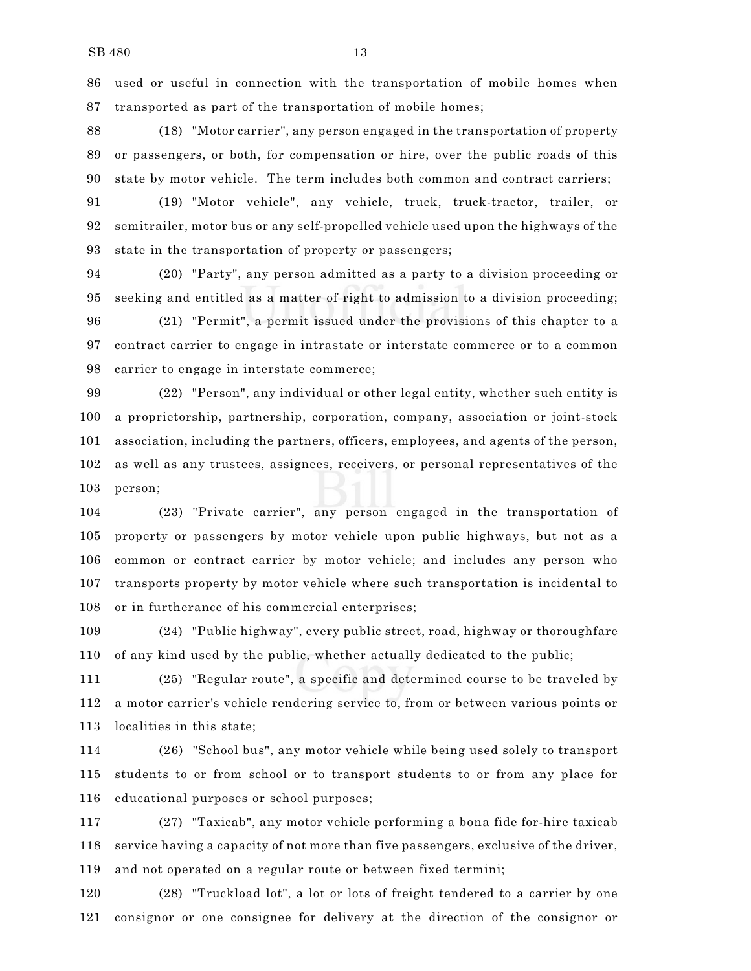used or useful in connection with the transportation of mobile homes when transported as part of the transportation of mobile homes;

 (18) "Motor carrier", any person engaged in the transportation of property or passengers, or both, for compensation or hire, over the public roads of this state by motor vehicle. The term includes both common and contract carriers;

 (19) "Motor vehicle", any vehicle, truck, truck-tractor, trailer, or semitrailer, motor bus or any self-propelled vehicle used upon the highways of the state in the transportation of property or passengers;

 (20) "Party", any person admitted as a party to a division proceeding or seeking and entitled as a matter of right to admission to a division proceeding;

 (21) "Permit", a permit issued under the provisions of this chapter to a contract carrier to engage in intrastate or interstate commerce or to a common carrier to engage in interstate commerce;

 (22) "Person", any individual or other legal entity, whether such entity is a proprietorship, partnership, corporation, company, association or joint-stock association, including the partners, officers, employees, and agents of the person, as well as any trustees, assignees, receivers, or personal representatives of the person;

 (23) "Private carrier", any person engaged in the transportation of property or passengers by motor vehicle upon public highways, but not as a common or contract carrier by motor vehicle; and includes any person who transports property by motor vehicle where such transportation is incidental to or in furtherance of his commercial enterprises;

 (24) "Public highway", every public street, road, highway or thoroughfare of any kind used by the public, whether actually dedicated to the public;

 (25) "Regular route", a specific and determined course to be traveled by a motor carrier's vehicle rendering service to, from or between various points or localities in this state;

 (26) "School bus", any motor vehicle while being used solely to transport students to or from school or to transport students to or from any place for educational purposes or school purposes;

 (27) "Taxicab", any motor vehicle performing a bona fide for-hire taxicab service having a capacity of not more than five passengers, exclusive of the driver, and not operated on a regular route or between fixed termini;

 (28) "Truckload lot", a lot or lots of freight tendered to a carrier by one consignor or one consignee for delivery at the direction of the consignor or